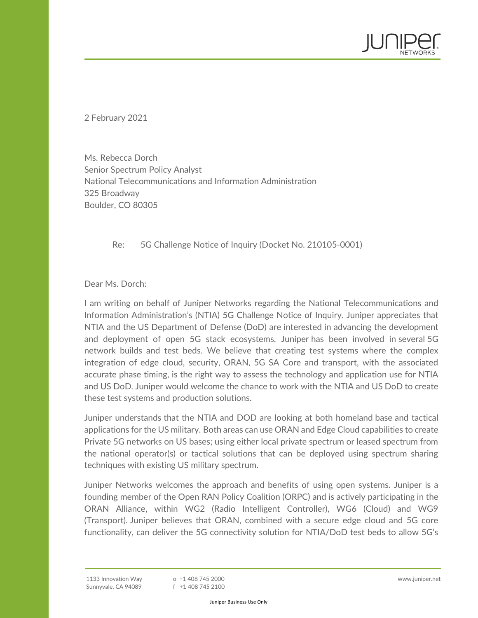2 February 2021

Ms. Rebecca Dorch Senior Spectrum Policy Analyst National Telecommunications and Information Administration 325 Broadway Boulder, CO 80305

Re: 5G Challenge Notice of Inquiry (Docket No. 210105-0001)

Dear Ms. Dorch:

I am writing on behalf of Juniper Networks regarding the National Telecommunications and Information Administration's (NTIA) 5G Challenge Notice of Inquiry. Juniper appreciates that NTIA and the US Department of Defense (DoD) are interested in advancing the development and deployment of open 5G stack ecosystems. Juniper has been involved in several 5G network builds and test beds. We believe that creating test systems where the complex integration of edge cloud, security, ORAN, 5G SA Core and transport, with the associated accurate phase timing, is the right way to assess the technology and application use for NTIA and US DoD. Juniper would welcome the chance to work with the NTIA and US DoD to create these test systems and production solutions.

Juniper understands that the NTIA and DOD are looking at both homeland base and tactical applications for the US military. Both areas can use ORAN and Edge Cloud capabilities to create Private 5G networks on US bases; using either local private spectrum or leased spectrum from the national operator(s) or tactical solutions that can be deployed using spectrum sharing techniques with existing US military spectrum.

Juniper Networks welcomes the approach and benefits of using open systems. Juniper is a founding member of the Open RAN Policy Coalition (ORPC) and is actively participating in the ORAN Alliance, within WG2 (Radio Intelligent Controller), WG6 (Cloud) and WG9 (Transport). Juniper believes that ORAN, combined with a secure edge cloud and 5G core functionality, can deliver the 5G connectivity solution for NTIA/DoD test beds to allow 5G's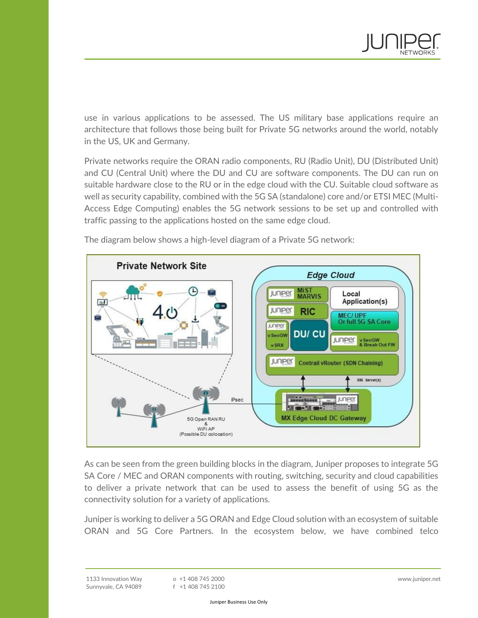

use in various applications to be assessed. The US military base applications require an architecture that follows those being built for Private 5G networks around the world, notably in the US, UK and Germany.

Private networks require the ORAN radio components, RU (Radio Unit), DU (Distributed Unit) and CU (Central Unit) where the DU and CU are software components. The DU can run on suitable hardware close to the RU or in the edge cloud with the CU. Suitable cloud software as well as security capability, combined with the 5G SA (standalone) core and/or ETSI MEC (Multi-Access Edge Computing) enables the 5G network sessions to be set up and controlled with traffic passing to the applications hosted on the same edge cloud.



The diagram below shows a high-level diagram of a Private 5G network:

As can be seen from the green building blocks in the diagram, Juniper proposes to integrate 5G SA Core / MEC and ORAN components with routing, switching, security and cloud capabilities to deliver a private network that can be used to assess the benefit of using 5G as the connectivity solution for a variety of applications.

Juniper is working to deliver a 5G ORAN and Edge Cloud solution with an ecosystem of suitable ORAN and 5G Core Partners. In the ecosystem below, we have combined telco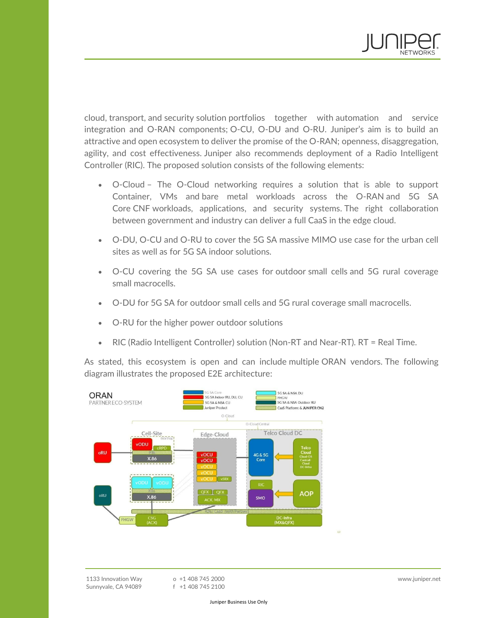

cloud, transport, and security solution portfolios together with automation and service integration and O-RAN components; O-CU, O-DU and O-RU. Juniper's aim is to build an attractive and open ecosystem to deliver the promise of the O-RAN; openness, disaggregation, agility, and cost effectiveness. Juniper also recommends deployment of a Radio Intelligent Controller (RIC). The proposed solution consists of the following elements:

- O-Cloud The O-Cloud networking requires a solution that is able to support Container, VMs and bare metal workloads across the O-RAN and 5G SA Core CNF workloads, applications, and security systems. The right collaboration between government and industry can deliver a full CaaS in the edge cloud.
- O-DU, O-CU and O-RU to cover the 5G SA massive MIMO use case for the urban cell sites as well as for 5G SA indoor solutions.
- O-CU covering the 5G SA use cases for outdoor small cells and 5G rural coverage small macrocells.
- O-DU for 5G SA for outdoor small cells and 5G rural coverage small macrocells.
- O-RU for the higher power outdoor solutions
- RIC (Radio Intelligent Controller) solution (Non-RT and Near-RT). RT = Real Time.

As stated, this ecosystem is open and can include multiple ORAN vendors. The following diagram illustrates the proposed E2E architecture:



o +1 408 745 2000 f +1 408 745 2100 www.juniper.net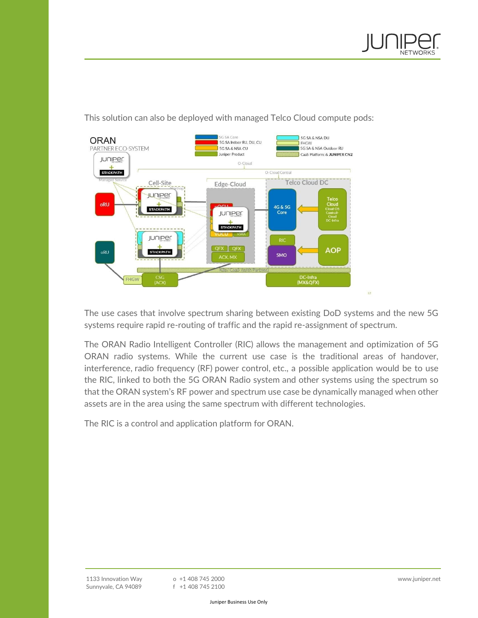



This solution can also be deployed with managed Telco Cloud compute pods:

The use cases that involve spectrum sharing between existing DoD systems and the new 5G systems require rapid re-routing of traffic and the rapid re-assignment of spectrum.

The ORAN Radio Intelligent Controller (RIC) allows the management and optimization of 5G ORAN radio systems. While the current use case is the traditional areas of handover, interference, radio frequency (RF) power control, etc., a possible application would be to use the RIC, linked to both the 5G ORAN Radio system and other systems using the spectrum so that the ORAN system's RF power and spectrum use case be dynamically managed when other assets are in the area using the same spectrum with different technologies.

The RIC is a control and application platform for ORAN.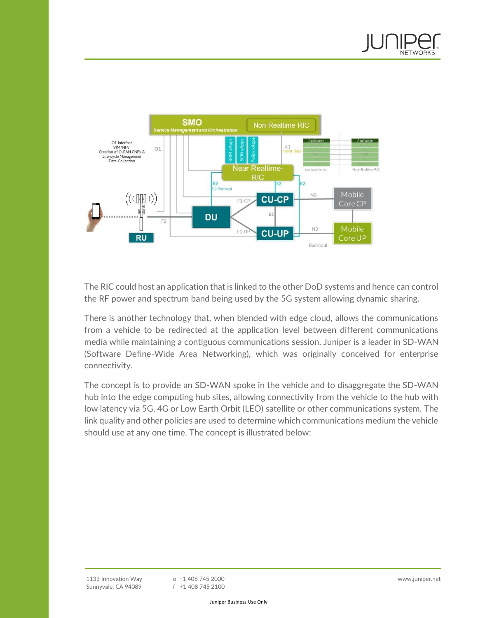



The RIC could host an application that is linked to the other DoD systems and hence can control the RF power and spectrum band being used by the 5G system allowing dynamic sharing.

There is another technology that, when blended with edge cloud, allows the communications from a vehicle to be redirected at the application level between different communications media while maintaining a contiguous communications session. Juniper is a leader in SD-WAN (Software Define-Wide Area Networking), which was originally conceived for enterprise connectivity.

The concept is to provide an SD-WAN spoke in the vehicle and to disaggregate the SD-WAN hub into the edge computing hub sites, allowing connectivity from the vehicle to the hub with low latency via 5G, 4G or Low Earth Orbit (LEO) satellite or other communications system. The link quality and other policies are used to determine which communications medium the vehicle should use at any one time. The concept is illustrated below: